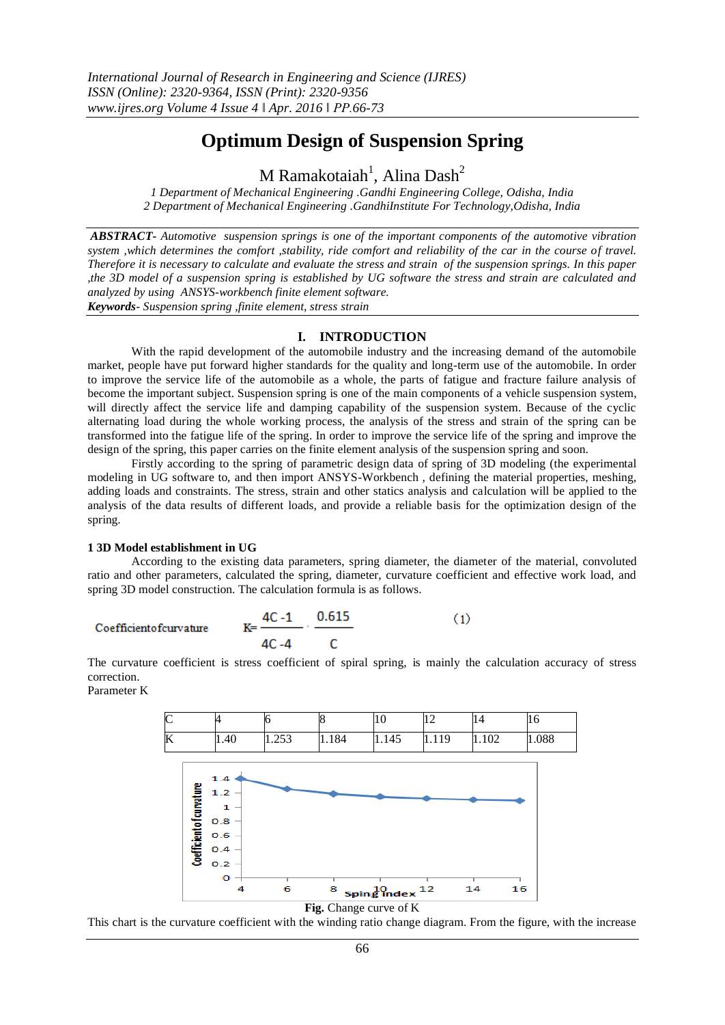# **Optimum Design of Suspension Spring**

 $M$  Ramakotaiah $^1$ , Alina Dash $^2$ 

*1 Department of Mechanical Engineering .Gandhi Engineering College, Odisha, India 2 Department of Mechanical Engineering .GandhiInstitute For Technology,Odisha, India*

*ABSTRACT- Automotive suspension springs is one of the important components of the automotive vibration system ,which determines the comfort ,stability, ride comfort and reliability of the car in the course of travel. Therefore it is necessary to calculate and evaluate the stress and strain of the suspension springs. In this paper ,the 3D model of a suspension spring is established by UG software the stress and strain are calculated and analyzed by using ANSYS-workbench finite element software. Keywords- Suspension spring ,finite element, stress strain*

# **I. INTRODUCTION**

With the rapid development of the automobile industry and the increasing demand of the automobile market, people have put forward higher standards for the quality and long-term use of the automobile. In order to improve the service life of the automobile as a whole, the parts of fatigue and fracture failure analysis of become the important subject. Suspension spring is one of the main components of a vehicle suspension system, will directly affect the service life and damping capability of the suspension system. Because of the cyclic alternating load during the whole working process, the analysis of the stress and strain of the spring can be transformed into the fatigue life of the spring. In order to improve the service life of the spring and improve the design of the spring, this paper carries on the finite element analysis of the suspension spring and soon.

Firstly according to the spring of parametric design data of spring of 3D modeling (the experimental modeling in UG software to, and then import ANSYS-Workbench , defining the material properties, meshing, adding loads and constraints. The stress, strain and other statics analysis and calculation will be applied to the analysis of the data results of different loads, and provide a reliable basis for the optimization design of the spring.

#### **1 3D Model establishment in UG**

According to the existing data parameters, spring diameter, the diameter of the material, convoluted ratio and other parameters, calculated the spring, diameter, curvature coefficient and effective work load, and spring 3D model construction. The calculation formula is as follows.

Coefficient of curvature 
$$
K = \frac{4C - 1}{4C - 4} \cdot \frac{0.615}{C}
$$
 (1)

The curvature coefficient is stress coefficient of spiral spring, is mainly the calculation accuracy of stress correction.

Parameter K



#### **Fig.** Change curve of K

This chart is the curvature coefficient with the winding ratio change diagram. From the figure, with the increase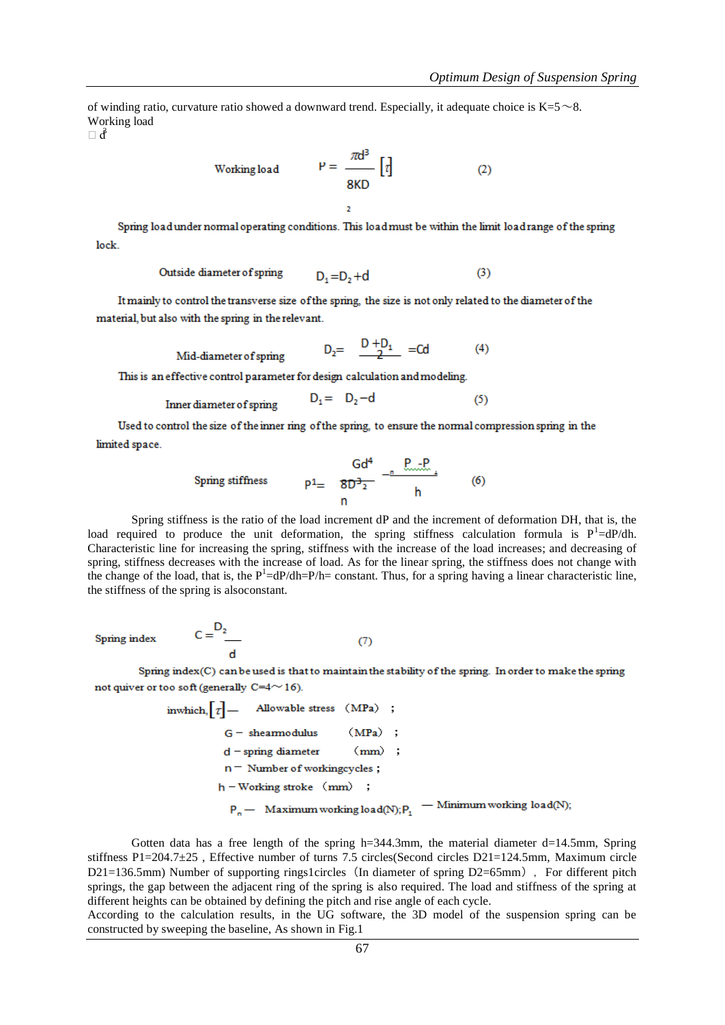$(4)$ 

of winding ratio, curvature ratio showed a downward trend. Especially, it adequate choice is  $K=5~\sim 8$ . Working load

 $\Box$ 

Working load 
$$
P = \frac{\pi d^3}{8KD} [t]
$$
 (2)

Spring load under normal operating conditions. This load must be within the limit load range of the spring lock.

Outside diameter of spring 
$$
D_1 = D_2 + d
$$
 (3)

It mainly to control the transverse size of the spring, the size is not only related to the diameter of the material, but also with the spring in the relevant.

 $D_2 = \frac{D + D_1}{2} = Cd$ 

Mid-diameter of spring

 $C = \begin{bmatrix} D_2 \end{bmatrix}$ 

This is an effective control parameter for design calculation and modeling.

Inner diameter of spring 
$$
D_1 = D_2 - d
$$
 (5)

Used to control the size of the inner ring of the spring, to ensure the normal compression spring in the limited space.

Spring stiffness 
$$
p1 = \frac{Gd^4}{8D^3 \cdot 2} - \frac{P \cdot 2P}{h}
$$
 (6)

Spring stiffness is the ratio of the load increment dP and the increment of deformation DH, that is, the load required to produce the unit deformation, the spring stiffness calculation formula is  $P<sup>1</sup>=dP/dh$ . Characteristic line for increasing the spring, stiffness with the increase of the load increases; and decreasing of spring, stiffness decreases with the increase of load. As for the linear spring, the stiffness does not change with the change of the load, that is, the  $P<sup>1</sup>=dP/dh=P/h=$  constant. Thus, for a spring having a linear characteristic line, the stiffness of the spring is alsoconstant.

**Spring index** 

Spring index(C) can be used is that to maintain the stability of the spring. In order to make the spring not quiver or too soft (generally  $C=4 \sim 16$ ).

 $(7)$ 

inwhich, 
$$
[\tau]
$$
 — Allowable stress (MPa) ;

\n $G$  - sheamodulus (MPa) ;

\n $d$  - spring diameter (mm) ;

\n $n$  — Number of workingcycles ;

\n $h$  - Working stroke (mm) ;

\n $P_n$  — Maximum working load(N);  $P_1$  — Minimum working load(N);

Gotten data has a free length of the spring  $h=344.3$ mm, the material diameter d=14.5mm, Spring stiffness P1=204.7±25 , Effective number of turns 7.5 circles(Second circles D21=124.5mm, Maximum circle  $D21=136.5$ mm) Number of supporting rings1circles (In diameter of spring  $D2=65$ mm), For different pitch springs, the gap between the adjacent ring of the spring is also required. The load and stiffness of the spring at different heights can be obtained by defining the pitch and rise angle of each cycle.

According to the calculation results, in the UG software, the 3D model of the suspension spring can be constructed by sweeping the baseline, As shown in Fig.1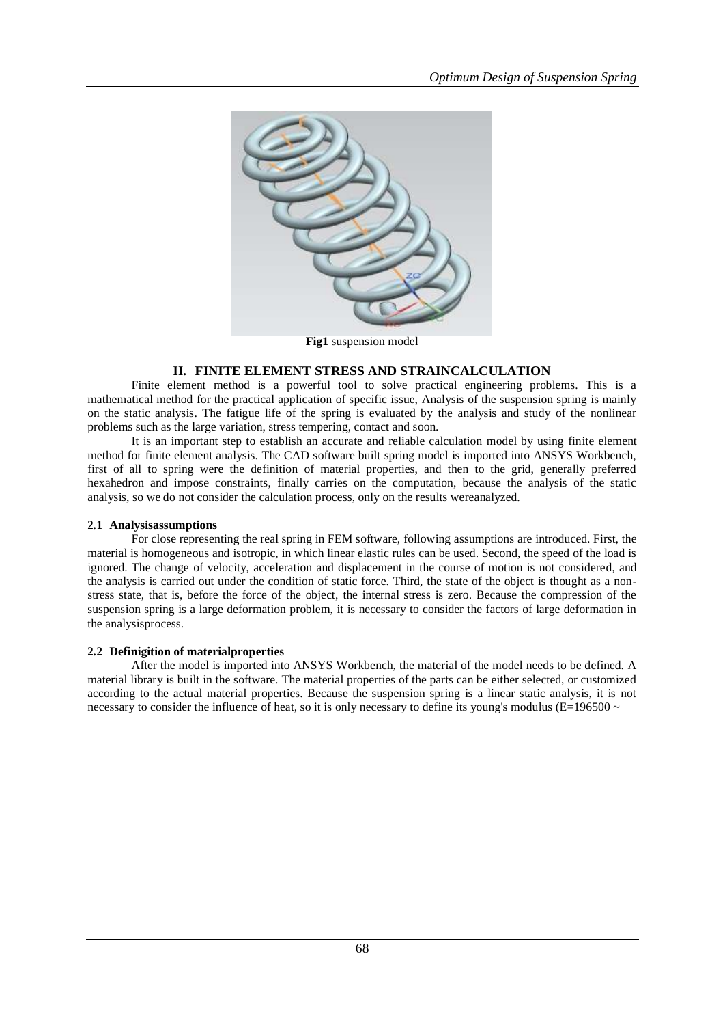

**Fig1** suspension model

# **II. FINITE ELEMENT STRESS AND STRAINCALCULATION**

Finite element method is a powerful tool to solve practical engineering problems. This is a mathematical method for the practical application of specific issue, Analysis of the suspension spring is mainly on the static analysis. The fatigue life of the spring is evaluated by the analysis and study of the nonlinear problems such as the large variation, stress tempering, contact and soon.

It is an important step to establish an accurate and reliable calculation model by using finite element method for finite element analysis. The CAD software built spring model is imported into ANSYS Workbench, first of all to spring were the definition of material properties, and then to the grid, generally preferred hexahedron and impose constraints, finally carries on the computation, because the analysis of the static analysis, so we do not consider the calculation process, only on the results wereanalyzed.

## **2.1 Analysisassumptions**

For close representing the real spring in FEM software, following assumptions are introduced. First, the material is homogeneous and isotropic, in which linear elastic rules can be used. Second, the speed of the load is ignored. The change of velocity, acceleration and displacement in the course of motion is not considered, and the analysis is carried out under the condition of static force. Third, the state of the object is thought as a nonstress state, that is, before the force of the object, the internal stress is zero. Because the compression of the suspension spring is a large deformation problem, it is necessary to consider the factors of large deformation in the analysisprocess.

## **2.2 Definigition of materialproperties**

After the model is imported into ANSYS Workbench, the material of the model needs to be defined. A material library is built in the software. The material properties of the parts can be either selected, or customized according to the actual material properties. Because the suspension spring is a linear static analysis, it is not necessary to consider the influence of heat, so it is only necessary to define its young's modulus ( $E=196500 \sim$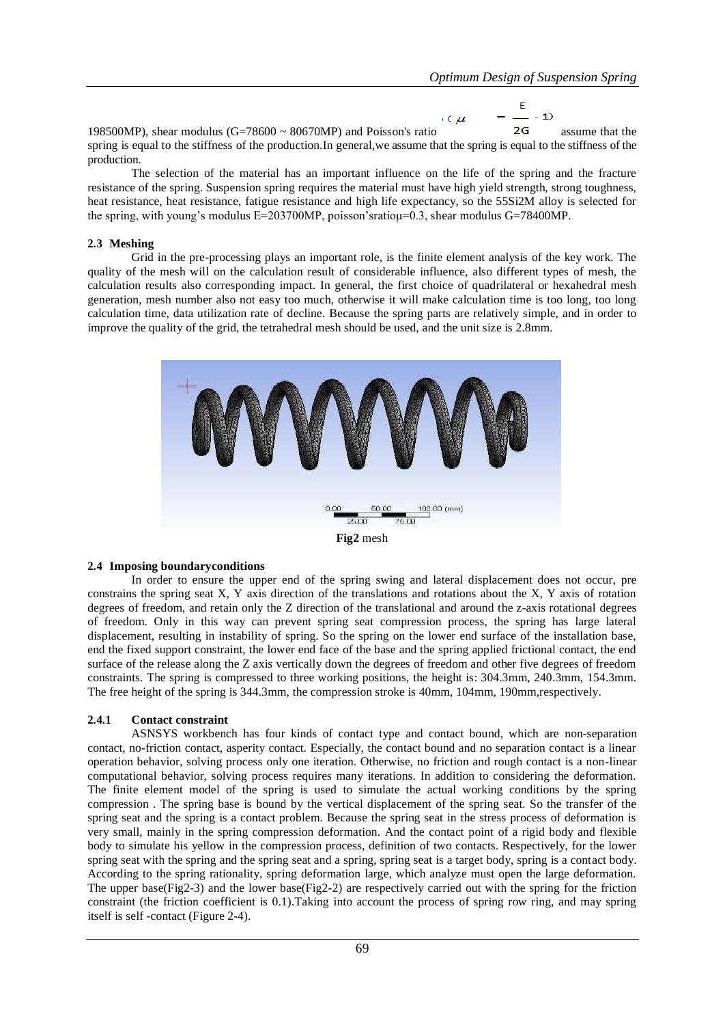$$
(\mu = \frac{E}{2G} - 1)
$$

198500MP), shear modulus (G=78600  $\sim$  80670MP) and Poisson's ratio 2G assume that the spring is equal to the stiffness of the production.In general,we assume that the spring is equal to the stiffness of the production.

The selection of the material has an important influence on the life of the spring and the fracture resistance of the spring. Suspension spring requires the material must have high yield strength, strong toughness, heat resistance, heat resistance, fatigue resistance and high life expectancy, so the 55Si2M alloy is selected for the spring, with young's modulus E=203700MP, poisson's ratiou=0.3, shear modulus G=78400MP.

#### **2.3 Meshing**

Grid in the pre-processing plays an important role, is the finite element analysis of the key work. The quality of the mesh will on the calculation result of considerable influence, also different types of mesh, the calculation results also corresponding impact. In general, the first choice of quadrilateral or hexahedral mesh generation, mesh number also not easy too much, otherwise it will make calculation time is too long, too long calculation time, data utilization rate of decline. Because the spring parts are relatively simple, and in order to improve the quality of the grid, the tetrahedral mesh should be used, and the unit size is 2.8mm.



## **2.4 Imposing boundaryconditions**

In order to ensure the upper end of the spring swing and lateral displacement does not occur, pre constrains the spring seat X, Y axis direction of the translations and rotations about the X, Y axis of rotation degrees of freedom, and retain only the Z direction of the translational and around the z-axis rotational degrees of freedom. Only in this way can prevent spring seat compression process, the spring has large lateral displacement, resulting in instability of spring. So the spring on the lower end surface of the installation base, end the fixed support constraint, the lower end face of the base and the spring applied frictional contact, the end surface of the release along the Z axis vertically down the degrees of freedom and other five degrees of freedom constraints. The spring is compressed to three working positions, the height is: 304.3mm, 240.3mm, 154.3mm. The free height of the spring is 344.3mm, the compression stroke is 40mm, 104mm, 190mm,respectively.

## **2.4.1 Contact constraint**

ASNSYS workbench has four kinds of contact type and contact bound, which are non-separation contact, no-friction contact, asperity contact. Especially, the contact bound and no separation contact is a linear operation behavior, solving process only one iteration. Otherwise, no friction and rough contact is a non-linear computational behavior, solving process requires many iterations. In addition to considering the deformation. The finite element model of the spring is used to simulate the actual working conditions by the spring compression . The spring base is bound by the vertical displacement of the spring seat. So the transfer of the spring seat and the spring is a contact problem. Because the spring seat in the stress process of deformation is very small, mainly in the spring compression deformation. And the contact point of a rigid body and flexible body to simulate his yellow in the compression process, definition of two contacts. Respectively, for the lower spring seat with the spring and the spring seat and a spring, spring seat is a target body, spring is a contact body. According to the spring rationality, spring deformation large, which analyze must open the large deformation. The upper base(Fig2-3) and the lower base(Fig2-2) are respectively carried out with the spring for the friction constraint (the friction coefficient is 0.1).Taking into account the process of spring row ring, and may spring itself is self -contact (Figure 2-4).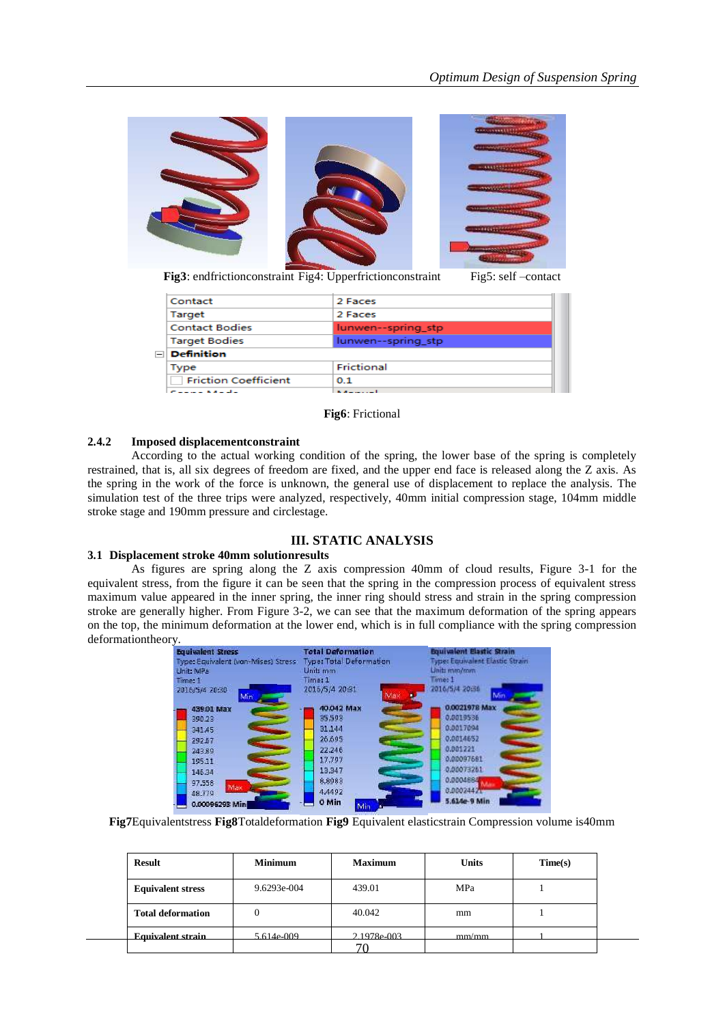

**Fig3**: endfrictionconstraint Fig4: Upperfrictionconstraint Fig5: self –contact

| Contact                        | 2 Faces            |  |  |  |
|--------------------------------|--------------------|--|--|--|
| Target                         | 2 Faces            |  |  |  |
| <b>Contact Bodies</b>          | lunwen--spring_stp |  |  |  |
| <b>Target Bodies</b>           | lunwen--spring_stp |  |  |  |
| $\Box$ Definition              |                    |  |  |  |
| Type                           | Frictional         |  |  |  |
| <b>Friction Coefficient</b>    | 01                 |  |  |  |
| <b>Contract Administration</b> | .                  |  |  |  |

#### **Fig6**: Frictional

## **2.4.2 Imposed displacementconstraint**

According to the actual working condition of the spring, the lower base of the spring is completely restrained, that is, all six degrees of freedom are fixed, and the upper end face is released along the Z axis. As the spring in the work of the force is unknown, the general use of displacement to replace the analysis. The simulation test of the three trips were analyzed, respectively, 40mm initial compression stage, 104mm middle stroke stage and 190mm pressure and circlestage.

# **III. STATIC ANALYSIS**

# **3.1 Displacement stroke 40mm solutionresults**

As figures are spring along the Z axis compression 40mm of cloud results, Figure 3-1 for the equivalent stress, from the figure it can be seen that the spring in the compression process of equivalent stress maximum value appeared in the inner spring, the inner ring should stress and strain in the spring compression stroke are generally higher. From Figure 3-2, we can see that the maximum deformation of the spring appears on the top, the minimum deformation at the lower end, which is in full compliance with the spring compression deformationtheory.

| <b>Equivalent Stress</b>             | <b>Total Deformation</b>       | <b>Bourvalent Elastic Strain</b>       |
|--------------------------------------|--------------------------------|----------------------------------------|
| Type: Equivalent (von-Mises) Stress: | <b>Type: Total Deformation</b> | <b>Type: Equivalent Elastic Strain</b> |
| Unit: MPa                            | Unit: mm                       | Units mm/mm                            |
| Time: 1                              | Time: 1                        | Time: 1                                |
| 2016/5/4 20:30<br>Min                | 2016/5/4 20:31<br>Ma)          | 2016/5/4 20:56                         |
| 439.01 Max                           | 40.042 Max                     | 0.0021978 Max                          |
| 390.23                               | 35,593                         | 0.0019536                              |
| 341,45                               | 31,144                         | 0.0017094                              |
| 292.57                               | 26.695                         | 0.0014652                              |
| 243.89                               | 22,246                         | 0.001221                               |
| 195.11                               | 17.797                         | 0.00097681                             |
| 146.34                               | 13,347                         | 0.00073261                             |
| 97,558                               | 8,8983                         | 0.0004684                              |
| Max<br>48,779                        | 4,4492                         | 0.00024421                             |
| 0.00096293 Min                       | 0 Min<br>Min                   | 5.614e-9 Min                           |

**Fig7**Equivalentstress **Fig8**Totaldeformation **Fig9** Equivalent elasticstrain Compression volume is40mm

| <b>Result</b>            | <b>Minimum</b> | <b>Maximum</b> | <b>Units</b> | Time(s) |  |
|--------------------------|----------------|----------------|--------------|---------|--|
| <b>Equivalent stress</b> | 9.6293e-004    | 439.01         | MPa          |         |  |
| <b>Total deformation</b> | 0              | 40.042         | mm           |         |  |
| <b>Equivalent strain</b> | 5.614e-009     | 2.1978e-003    | mm/mm        |         |  |
|                          |                |                |              |         |  |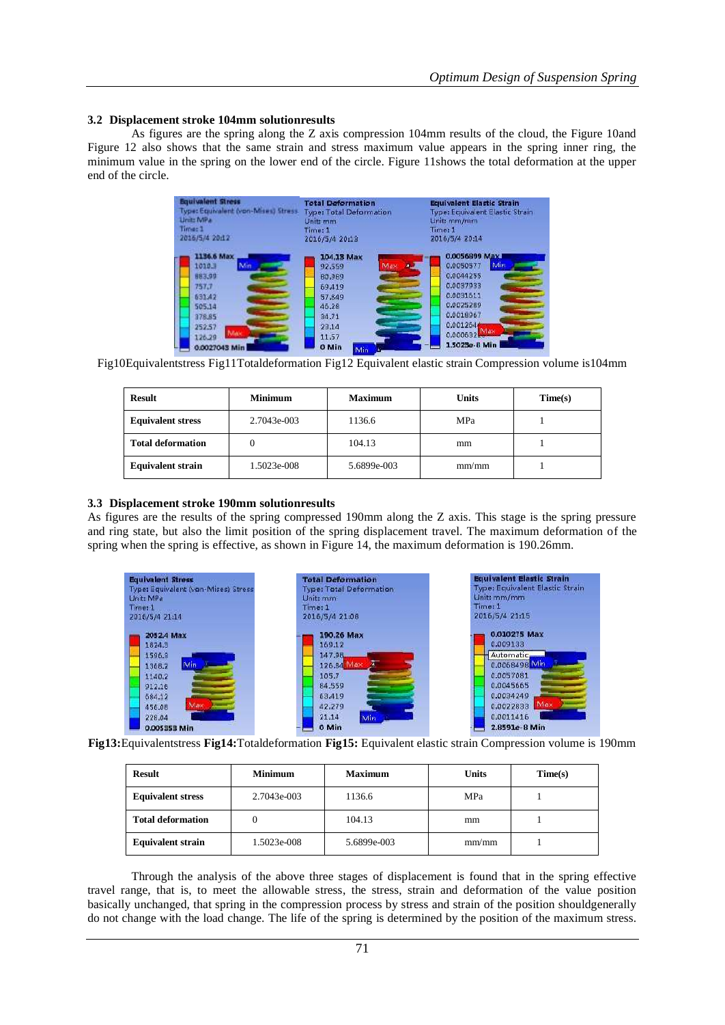# **3.2 Displacement stroke 104mm solutionresults**

As figures are the spring along the Z axis compression 104mm results of the cloud, the Figure 10and Figure 12 also shows that the same strain and stress maximum value appears in the spring inner ring, the minimum value in the spring on the lower end of the circle. Figure 11shows the total deformation at the upper end of the circle.

| <b>Total Deformation</b><br><b>Type: Total Deformation</b><br>Unit: mm<br>Time: 1<br>2016/5/4 20:13 |     |  | <b>Equivalent Elastic Strain</b><br><b>Type: Equivalent Elastic Strain</b><br>Unit: mm/mm<br>Time: 1<br>2016/5/4 20:14 |                           |  |
|-----------------------------------------------------------------------------------------------------|-----|--|------------------------------------------------------------------------------------------------------------------------|---------------------------|--|
| 104.13 Max<br>92,559<br>60,989<br>69,419<br>57,849<br>46.28<br>34.71<br>23,14                       | Max |  | 0.0056899 Max I<br>0.0050577<br>0.0044255<br>EEQ7E00.0<br>0.0031611<br>0.0025289<br>0.0018967<br>0.001264              | Min.                      |  |
| 11.57<br>0 Min<br>Min                                                                               |     |  |                                                                                                                        | 0.000632<br>1.5023e-8 Min |  |

Fig10Equivalentstress Fig11Totaldeformation Fig12 Equivalent elastic strain Compression volume is104mm

| <b>Result</b>            | <b>Minimum</b> | <b>Maximum</b><br>Units |       | Time(s) |
|--------------------------|----------------|-------------------------|-------|---------|
| <b>Equivalent stress</b> | 2.7043e-003    | 1136.6                  | MPa   |         |
| <b>Total deformation</b> | 0              | 104.13                  | mm    |         |
| <b>Equivalent strain</b> | 1.5023e-008    | 5.6899e-003             | mm/mm |         |

## **3.3 Displacement stroke 190mm solutionresults**

As figures are the results of the spring compressed 190mm along the Z axis. This stage is the spring pressure and ring state, but also the limit position of the spring displacement travel. The maximum deformation of the spring when the spring is effective, as shown in Figure 14, the maximum deformation is 190.26mm.



**Fig13:**Equivalentstress **Fig14:**Totaldeformation **Fig15:** Equivalent elastic strain Compression volume is 190mm

| <b>Result</b>            | <b>Minimum</b> | <b>Maximum</b> | <b>Units</b> | Time(s) |
|--------------------------|----------------|----------------|--------------|---------|
| <b>Equivalent stress</b> | 2.7043e-003    | 1136.6         | MPa          |         |
| <b>Total deformation</b> |                | 104.13         | mm           |         |
| <b>Equivalent strain</b> | 1.5023e-008    | 5.6899e-003    | mm/mm        |         |

Through the analysis of the above three stages of displacement is found that in the spring effective travel range, that is, to meet the allowable stress, the stress, strain and deformation of the value position basically unchanged, that spring in the compression process by stress and strain of the position shouldgenerally do not change with the load change. The life of the spring is determined by the position of the maximum stress.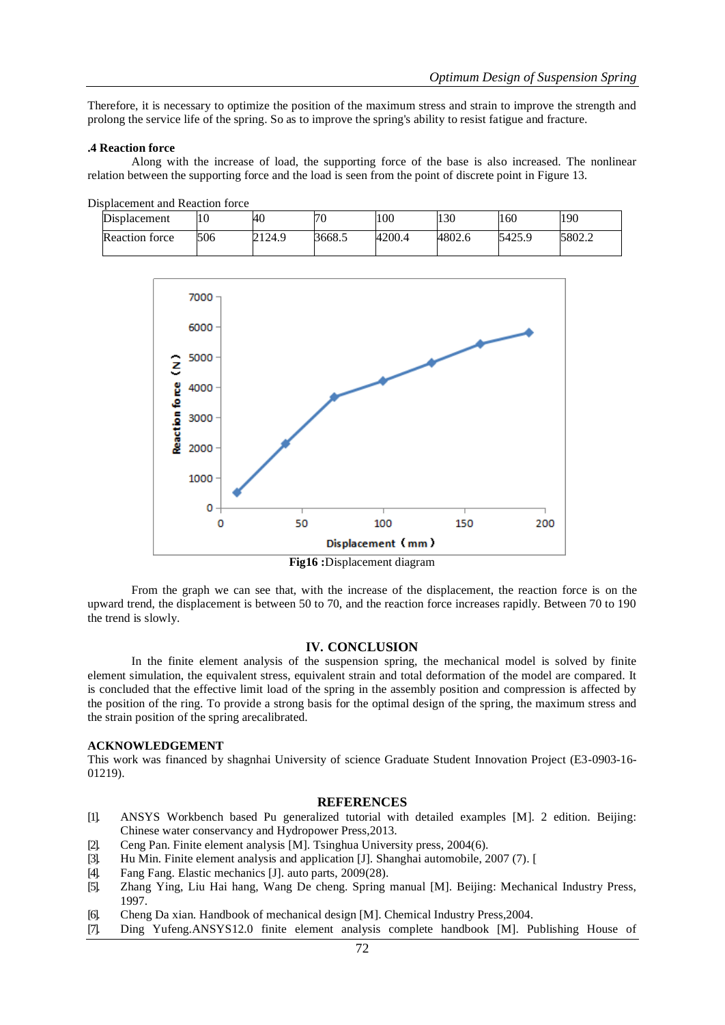Therefore, it is necessary to optimize the position of the maximum stress and strain to improve the strength and prolong the service life of the spring. So as to improve the spring's ability to resist fatigue and fracture.

## **.4 Reaction force**

Along with the increase of load, the supporting force of the base is also increased. The nonlinear relation between the supporting force and the load is seen from the point of discrete point in Figure 13.

| Displacement          |     | 40     | 70     | 100    | 130    | 160    | 190    |
|-----------------------|-----|--------|--------|--------|--------|--------|--------|
| <b>Reaction force</b> | 506 | 2124.9 | 3668.5 | 4200.4 | 4802.6 | 5425.9 | 5802.2 |



From the graph we can see that, with the increase of the displacement, the reaction force is on the upward trend, the displacement is between 50 to 70, and the reaction force increases rapidly. Between 70 to 190 the trend is slowly.

## **IV. CONCLUSION**

In the finite element analysis of the suspension spring, the mechanical model is solved by finite element simulation, the equivalent stress, equivalent strain and total deformation of the model are compared. It is concluded that the effective limit load of the spring in the assembly position and compression is affected by the position of the ring. To provide a strong basis for the optimal design of the spring, the maximum stress and the strain position of the spring arecalibrated.

## **ACKNOWLEDGEMENT**

This work was financed by shagnhai University of science Graduate Student Innovation Project (E3-0903-16- 01219).

#### **REFERENCES**

- [1]. ANSYS Workbench based Pu generalized tutorial with detailed examples [M]. 2 edition. Beijing: Chinese water conservancy and Hydropower Press,2013.
- [2]. Ceng Pan. Finite element analysis [M]. Tsinghua University press, 2004(6).
- [3]. Hu Min. Finite element analysis and application [J]. Shanghai automobile, 2007 (7). [
- [4]. Fang Fang. Elastic mechanics [J]. auto parts, 2009(28).
- [5]. Zhang Ying, Liu Hai hang, Wang De cheng. Spring manual [M]. Beijing: Mechanical Industry Press, 1997.
- [6]. Cheng Da xian. Handbook of mechanical design [M]. Chemical Industry Press,2004.
- [7]. Ding Yufeng.ANSYS12.0 finite element analysis complete handbook [M]. Publishing House of